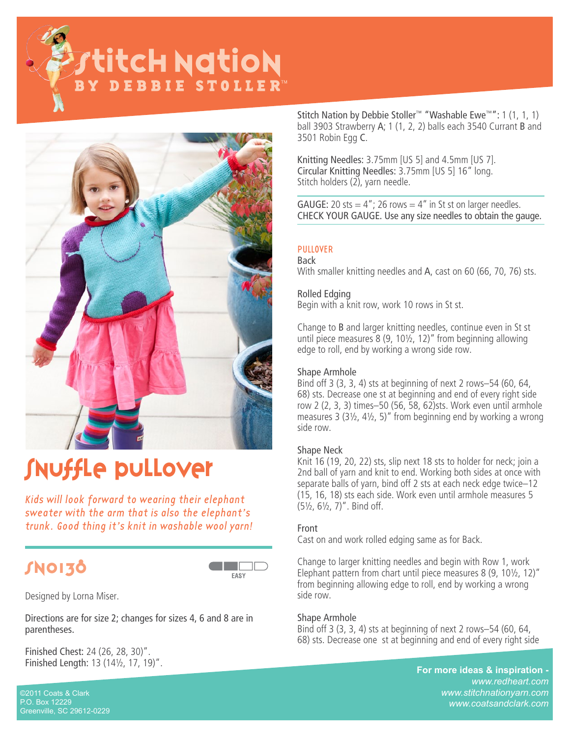**Pytitch NatioN** Y DEBBIE STOLLER



# Snuffle pullover

Kids will look forward to wearing their elephant sweater with the arm that is also the elephant's trunk. Good thing it's knit in washable wool yarn!

# SN0130



Designed by Lorna Miser.

Directions are for size 2; changes for sizes 4, 6 and 8 are in parentheses.

Finished Chest: 24 (26, 28, 30)". Finished Length: 13 (14½, 17, 19)".

Stitch Nation by Debbie Stoller™ "Washable Ewe™": 1 (1, 1, 1) ball 3903 Strawberry A; 1 (1, 2, 2) balls each 3540 Currant B and 3501 Robin Egg C.

Knitting Needles: 3.75mm [US 5] and 4.5mm [US 7]. Circular Knitting Needles: 3.75mm [US 5] 16" long. Stitch holders (2), yarn needle.

GAUGE: 20 sts =  $4"$ ; 26 rows =  $4"$  in St st on larger needles. CHECK YOUR GAUGE. Use any size needles to obtain the gauge.

#### PULLOVER Back

With smaller knitting needles and A, cast on 60 (66, 70, 76) sts.

# Rolled Edging

Begin with a knit row, work 10 rows in St st.

Change to B and larger knitting needles, continue even in St st until piece measures 8 (9, 10½, 12)" from beginning allowing edge to roll, end by working a wrong side row.

## Shape Armhole

Bind off 3 (3, 3, 4) sts at beginning of next 2 rows–54 (60, 64, 68) sts. Decrease one st at beginning and end of every right side row 2 (2, 3, 3) times–50 (56, 58, 62)sts. Work even until armhole measures 3 (3½, 4½, 5)" from beginning end by working a wrong side row.

## Shape Neck

Knit 16 (19, 20, 22) sts, slip next 18 sts to holder for neck; join a 2nd ball of yarn and knit to end. Working both sides at once with separate balls of yarn, bind off 2 sts at each neck edge twice–12 (15, 16, 18) sts each side. Work even until armhole measures 5 (5½, 6½, 7)". Bind off.

#### Front

Cast on and work rolled edging same as for Back.

Change to larger knitting needles and begin with Row 1, work Elephant pattern from chart until piece measures 8 (9, 10½, 12)" from beginning allowing edge to roll, end by working a wrong side row.

#### Shape Armhole

Bind off 3 (3, 3, 4) sts at beginning of next 2 rows–54 (60, 64, 68) sts. Decrease one st at beginning and end of every right side

> **For more ideas & inspiration**  *www.redheart.com www.stitchnationyarn.com www.coatsandclark.com*

©2011 Coats & Clark P.O. Box 12229 Greenville, SC 29612-0229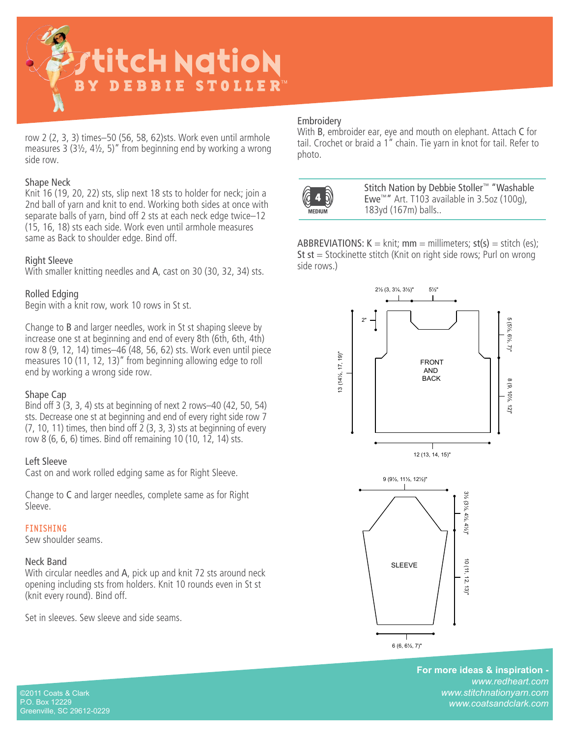

row 2 (2, 3, 3) times–50 (56, 58, 62)sts. Work even until armhole measures 3 (3½, 4½, 5)" from beginning end by working a wrong side row.

#### Shape Neck

Knit 16 (19, 20, 22) sts, slip next 18 sts to holder for neck; join a 2nd ball of yarn and knit to end. Working both sides at once with separate balls of yarn, bind off 2 sts at each neck edge twice–12 (15, 16, 18) sts each side. Work even until armhole measures same as Back to shoulder edge. Bind off.

#### Right Sleeve

With smaller knitting needles and A, cast on 30 (30, 32, 34) sts.

## Rolled Edging

Begin with a knit row, work 10 rows in St st.

Change to B and larger needles, work in St st shaping sleeve by increase one st at beginning and end of every 8th (6th, 6th, 4th) row 8 (9, 12, 14) times–46 (48, 56, 62) sts. Work even until piece measures 10 (11, 12, 13)" from beginning allowing edge to roll end by working a wrong side row.

#### Shape Cap

Bind off 3 (3, 3, 4) sts at beginning of next 2 rows–40 (42, 50, 54) sts. Decrease one st at beginning and end of every right side row 7 (7, 10, 11) times, then bind off  $\overline{2}$  (3, 3, 3) sts at beginning of every row 8 (6, 6, 6) times. Bind off remaining 10 (10, 12, 14) sts.

#### Left Sleeve

Cast on and work rolled edging same as for Right Sleeve.

Change to C and larger needles, complete same as for Right Sleeve.

#### **FINISHING**

Sew shoulder seams.

#### Neck Band

With circular needles and A, pick up and knit 72 sts around neck opening including sts from holders. Knit 10 rounds even in St st (knit every round). Bind off.

Set in sleeves. Sew sleeve and side seams.

#### **Embroidery**

With B, embroider ear, eye and mouth on elephant. Attach C for tail. Crochet or braid a 1" chain. Tie yarn in knot for tail. Refer to photo.



 Stitch Nation by Debbie Stoller™ "Washable Ewe™" Art. T103 available in 3.5oz (100g), 183yd (167m) balls..

ABBREVIATIONS:  $K = \text{knit}$ ; mm = millimeters;  $st(s) = stitch (es)$ ; St  $st =$  Stockinette stitch (Knit on right side rows; Purl on wrong side rows.)



For more ideas & inspiration *www.redheart.com www.stitchnationyarn.com www.coatsandclark.com*